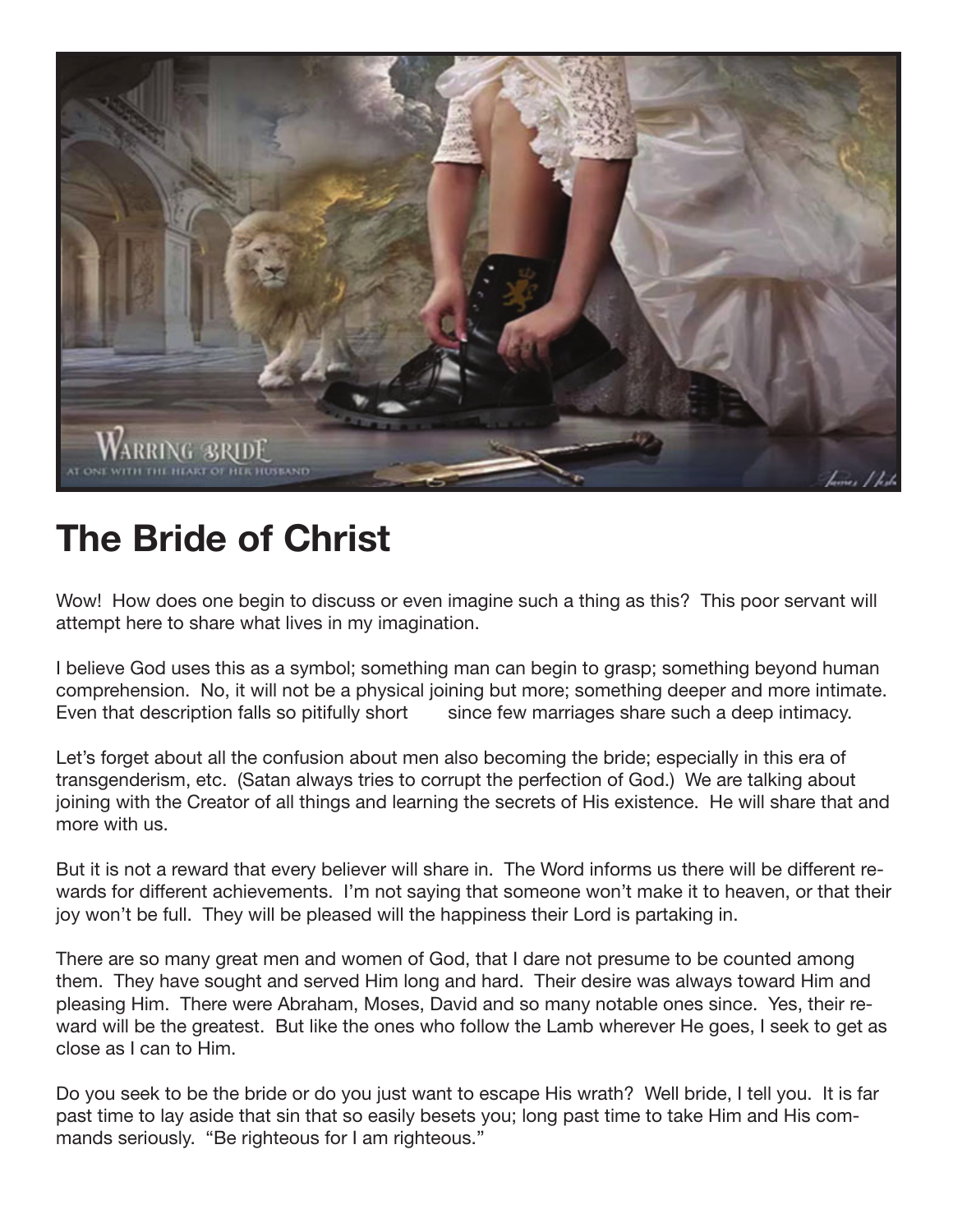

## **The Bride of Christ**

Wow! How does one begin to discuss or even imagine such a thing as this? This poor servant will attempt here to share what lives in my imagination.

I believe God uses this as a symbol; something man can begin to grasp; something beyond human comprehension. No, it will not be a physical joining but more; something deeper and more intimate. Even that description falls so pitifully short since few marriages share such a deep intimacy.

Let's forget about all the confusion about men also becoming the bride; especially in this era of transgenderism, etc. (Satan always tries to corrupt the perfection of God.) We are talking about joining with the Creator of all things and learning the secrets of His existence. He will share that and more with us.

But it is not a reward that every believer will share in. The Word informs us there will be different rewards for different achievements. I'm not saying that someone won't make it to heaven, or that their joy won't be full. They will be pleased will the happiness their Lord is partaking in.

There are so many great men and women of God, that I dare not presume to be counted among them. They have sought and served Him long and hard. Their desire was always toward Him and pleasing Him. There were Abraham, Moses, David and so many notable ones since. Yes, their reward will be the greatest. But like the ones who follow the Lamb wherever He goes, I seek to get as close as I can to Him.

Do you seek to be the bride or do you just want to escape His wrath? Well bride, I tell you. It is far past time to lay aside that sin that so easily besets you; long past time to take Him and His commands seriously. "Be righteous for I am righteous."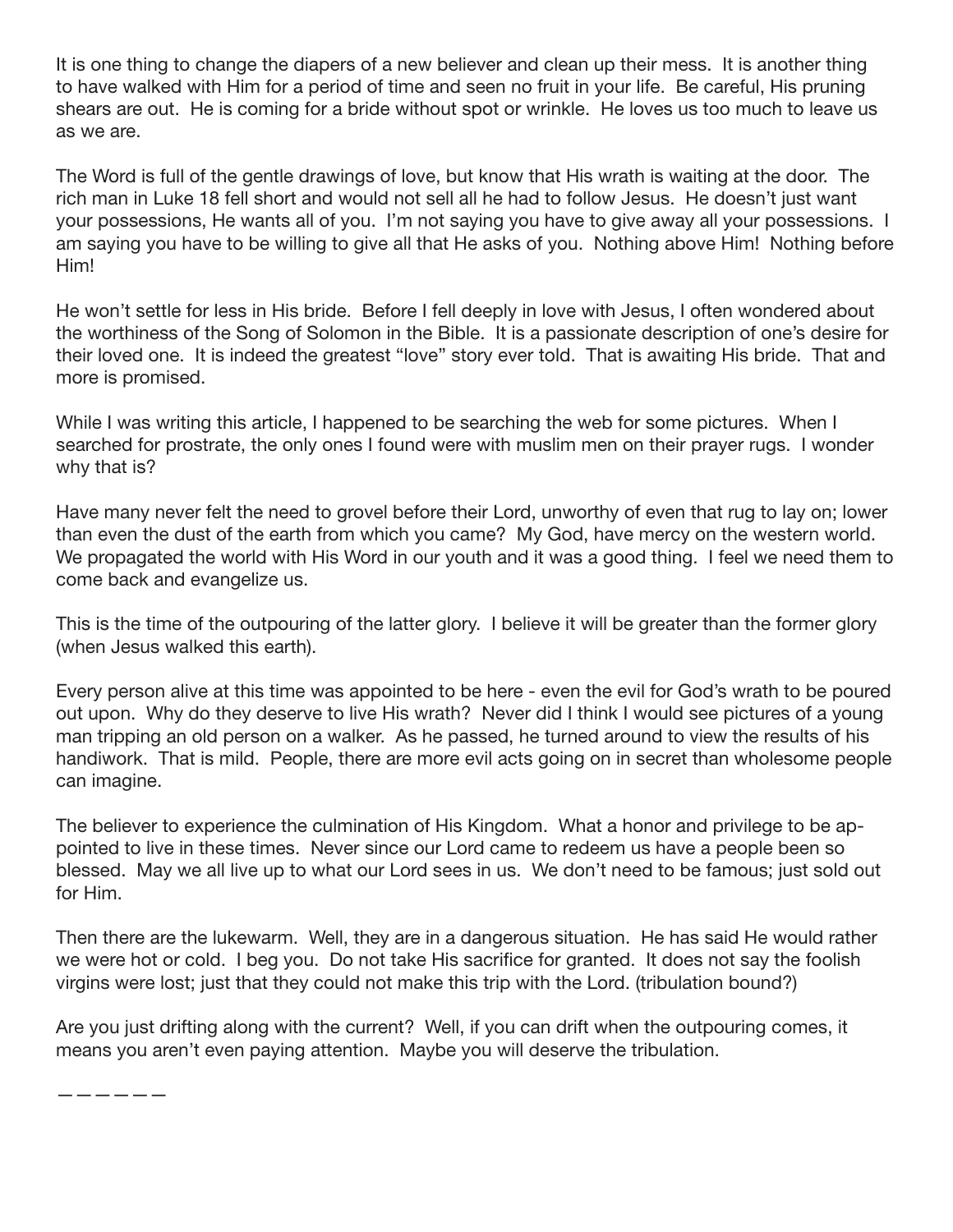It is one thing to change the diapers of a new believer and clean up their mess. It is another thing to have walked with Him for a period of time and seen no fruit in your life. Be careful, His pruning shears are out. He is coming for a bride without spot or wrinkle. He loves us too much to leave us as we are.

The Word is full of the gentle drawings of love, but know that His wrath is waiting at the door. The rich man in Luke 18 fell short and would not sell all he had to follow Jesus. He doesn't just want your possessions, He wants all of you. I'm not saying you have to give away all your possessions. I am saying you have to be willing to give all that He asks of you. Nothing above Him! Nothing before Him!

He won't settle for less in His bride. Before I fell deeply in love with Jesus, I often wondered about the worthiness of the Song of Solomon in the Bible. It is a passionate description of one's desire for their loved one. It is indeed the greatest "love" story ever told. That is awaiting His bride. That and more is promised.

While I was writing this article, I happened to be searching the web for some pictures. When I searched for prostrate, the only ones I found were with muslim men on their prayer rugs. I wonder why that is?

Have many never felt the need to grovel before their Lord, unworthy of even that rug to lay on; lower than even the dust of the earth from which you came? My God, have mercy on the western world. We propagated the world with His Word in our youth and it was a good thing. I feel we need them to come back and evangelize us.

This is the time of the outpouring of the latter glory. I believe it will be greater than the former glory (when Jesus walked this earth).

Every person alive at this time was appointed to be here - even the evil for God's wrath to be poured out upon. Why do they deserve to live His wrath? Never did I think I would see pictures of a young man tripping an old person on a walker. As he passed, he turned around to view the results of his handiwork. That is mild. People, there are more evil acts going on in secret than wholesome people can imagine.

The believer to experience the culmination of His Kingdom. What a honor and privilege to be appointed to live in these times. Never since our Lord came to redeem us have a people been so blessed. May we all live up to what our Lord sees in us. We don't need to be famous; just sold out for Him.

Then there are the lukewarm. Well, they are in a dangerous situation. He has said He would rather we were hot or cold. I beg you. Do not take His sacrifice for granted. It does not say the foolish virgins were lost; just that they could not make this trip with the Lord. (tribulation bound?)

Are you just drifting along with the current? Well, if you can drift when the outpouring comes, it means you aren't even paying attention. Maybe you will deserve the tribulation.

——————